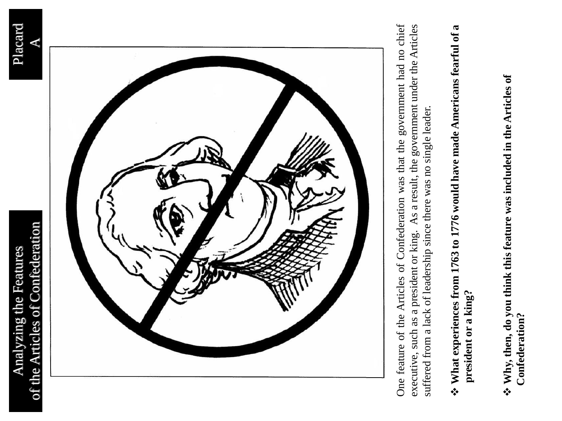



One feature of the Articles of Confederation was that the government had no chief One feature of the Articles of Confederation was that the government had no chief executive, such as a president or king. As a result, the government under the Articles executive, such as a president or king. As a result, the government under the Articles suffered from a lack of leadership since there was no single leader. suffered from a lack of leadership since there was no single leader.

### **∻ What experiences from 1763 to 1776 would have made Americans fearful of a What experiences from 1763 to 1776 would have made Americans fearful of a** president or a king? **president or a king?**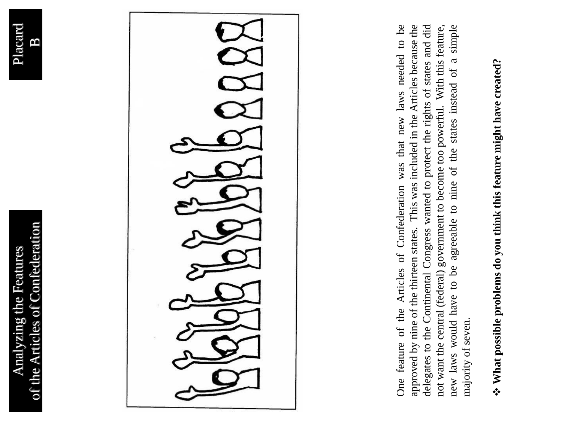



One feature of the Articles of Confederation was that new laws needed to be approved by nine of the thirteen states. This was included in the Articles because the delegates to the Continental Congress wanted to protect the rights of states and did not want the central (federal) government to become too powerful. With this feature, One feature of the Articles of Confederation was that new laws needed to be approved by nine of the thirteen states. This was included in the Articles because the delegates to the Continental Congress wanted to protect the rights of states and did new laws would have to be agreeable to nine of the states instead of a simple new laws would have to be agreeable to nine of the states instead of a simple not want the central (federal) government to become too powerful. With this feature, majority of seven. majority of seven.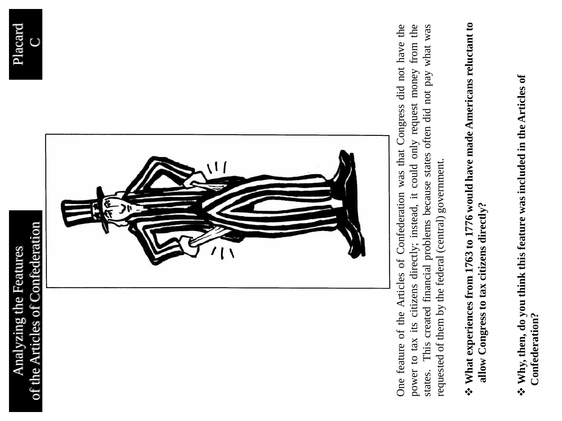



One feature of the Articles of Confederation was that Congress did not have the power to tax its citizens directly; instead, it could only request money from the This created financial problems because states often did not pay what was One feature of the Articles of Confederation was that Congress did not have the power to tax its citizens directly; instead, it could only request money from the states. This created financial problems because states often did not pay what was requested of them by the federal (central) government. requested of them by the federal (central) government.states.

### ❖ What experiences from 1763 to 1776 would have made Americans reluctant to **What experiences from 1763 to 1776 would have made Americans reluctant to** allow Congress to tax citizens directly? **allow Congress to tax citizens directly?**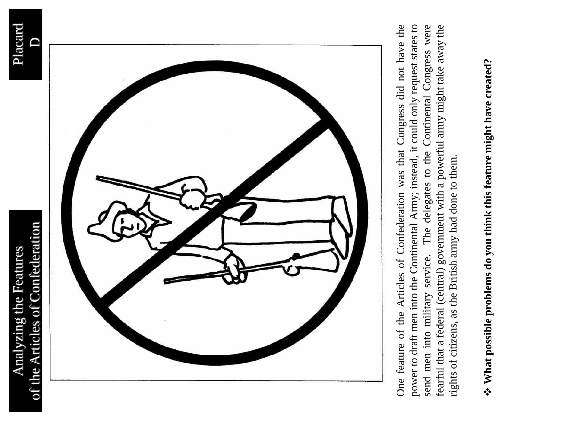



power to draft men into the Continental Army; instead, it could only request states to One feature of the Articles of Confederation was that Congress did not have the send men into military service. The delegates to the Continental Congress were fearful that a federal (central) government with a powerful army might take away the One feature of the Articles of Confederation was that Congress did not have the power to draft men into the Continental Army; instead, it could only request states to send men into military service. The delegates to the Continental Congress were fearful that a federal (central) government with a powerful army might take away the rights of citizens, as the British army had done to them. rights of citizens, as the British army had done to them.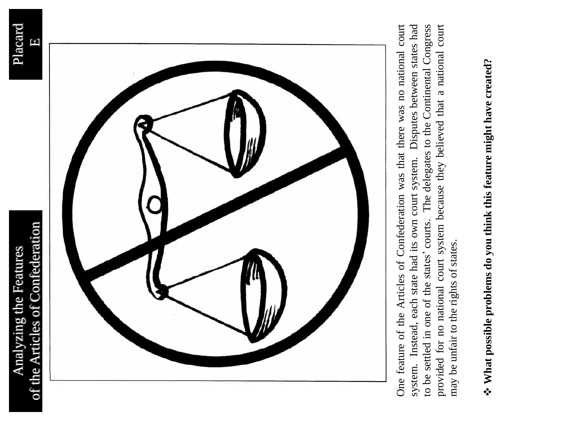



provided for no national court system because they believed that a national court One feature of the Articles of Confederation was that there was no national court system. Instead, each state had its own court system. Disputes between states had to be settled in one of the states' courts. The delegates to the Continental Congress One feature of the Articles of Confederation was that there was no national court system. Instead, each state had its own court system. Disputes between states had to be settled in one of the states' courts. The delegates to the Continental Congress provided for no national court system because they believed that a national court may be unfair to the rights of states. may be unfair to the rights of states.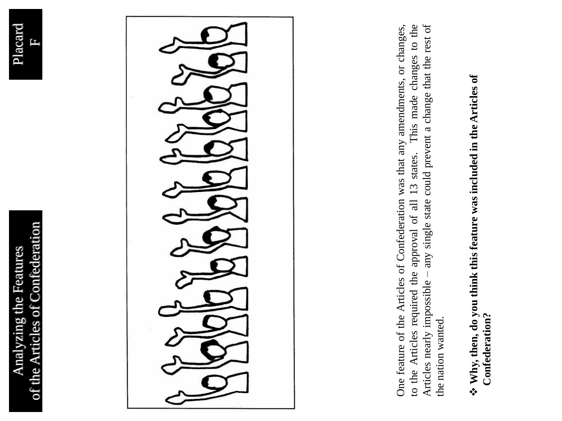





Articles nearly impossible - any single state could prevent a change that the rest of One feature of the Articles of Confederation was that any amendments, or changes, to the Articles required the approval of all 13 states. This made changes to the Articles nearly impossible – any single state could prevent a change that the rest of to the Articles required the approval of all 13 states. This made changes to the One feature of the Articles of Confederation was that any amendments, or changes, the nation wanted. the nation wanted.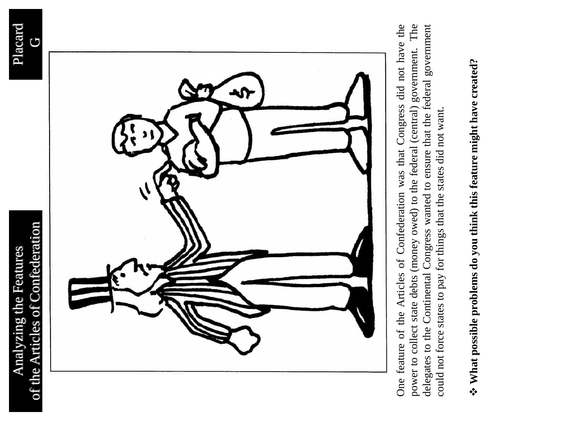



power to collect state debts (money owed) to the federal (central) government. The delegates to the Continental Congress wanted to ensure that the federal government One feature of the Articles of Confederation was that Congress did not have the One feature of the Articles of Confederation was that Congress did not have the power to collect state debts (money owed) to the federal (central) government. The delegates to the Continental Congress wanted to ensure that the federal government could not force states to pay for things that the states did not want. could not force states to pay for things that the states did not want.